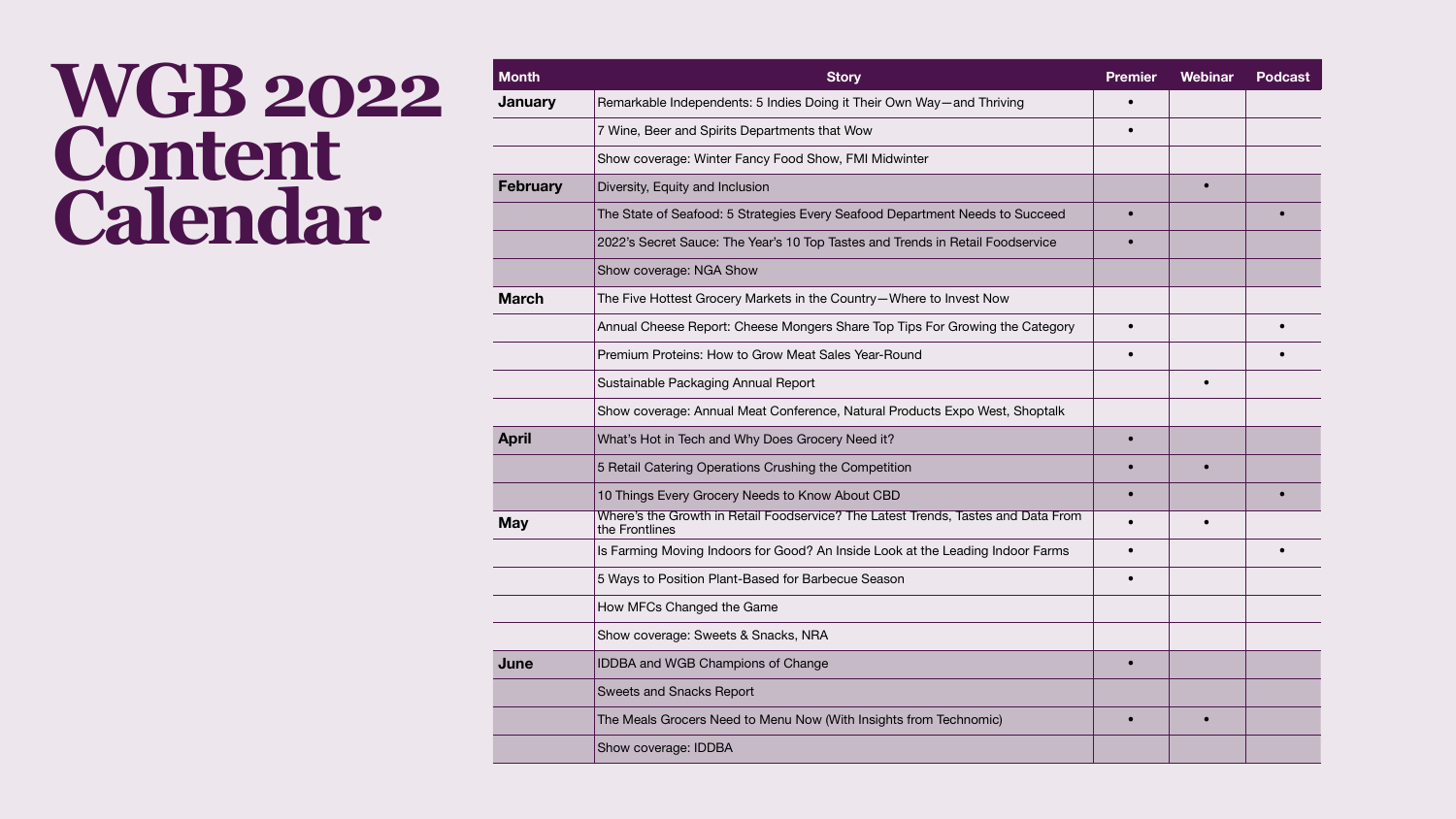## **WGB 2022 Content Calendar**

| Month           | <b>Story</b>                                                                                        | <b>Premier</b> | <b>Webinar</b> | Podcast |
|-----------------|-----------------------------------------------------------------------------------------------------|----------------|----------------|---------|
| <b>January</b>  | Remarkable Independents: 5 Indies Doing it Their Own Way—and Thriving                               |                |                |         |
|                 | 7 Wine, Beer and Spirits Departments that Wow                                                       |                |                |         |
|                 | Show coverage: Winter Fancy Food Show, FMI Midwinter                                                |                |                |         |
| <b>February</b> | Diversity, Equity and Inclusion                                                                     |                |                |         |
|                 | The State of Seafood: 5 Strategies Every Seafood Department Needs to Succeed                        |                |                |         |
|                 | 2022's Secret Sauce: The Year's 10 Top Tastes and Trends in Retail Foodservice                      |                |                |         |
|                 | Show coverage: NGA Show                                                                             |                |                |         |
| <b>March</b>    | The Five Hottest Grocery Markets in the Country—Where to Invest Now                                 |                |                |         |
|                 | Annual Cheese Report: Cheese Mongers Share Top Tips For Growing the Category                        |                |                |         |
|                 | <b>Premium Proteins: How to Grow Meat Sales Year-Round</b>                                          |                |                |         |
|                 | Sustainable Packaging Annual Report                                                                 |                |                |         |
|                 | Show coverage: Annual Meat Conference, Natural Products Expo West, Shoptalk                         |                |                |         |
| <b>April</b>    | What's Hot in Tech and Why Does Grocery Need it?                                                    |                |                |         |
|                 | 5 Retail Catering Operations Crushing the Competition                                               |                |                |         |
|                 | 10 Things Every Grocery Needs to Know About CBD                                                     | $\bullet$      |                |         |
| <b>May</b>      | Where's the Growth in Retail Foodservice? The Latest Trends, Tastes and Data From<br>the Frontlines |                |                |         |
|                 | Is Farming Moving Indoors for Good? An Inside Look at the Leading Indoor Farms                      |                |                |         |
|                 | 5 Ways to Position Plant-Based for Barbecue Season                                                  |                |                |         |
|                 | How MFCs Changed the Game                                                                           |                |                |         |
|                 | Show coverage: Sweets & Snacks, NRA                                                                 |                |                |         |
| June            | <b>IDDBA and WGB Champions of Change</b>                                                            |                |                |         |
|                 | <b>Sweets and Snacks Report</b>                                                                     |                |                |         |
|                 | The Meals Grocers Need to Menu Now (With Insights from Technomic)                                   |                |                |         |
|                 | Show coverage: IDDBA                                                                                |                |                |         |